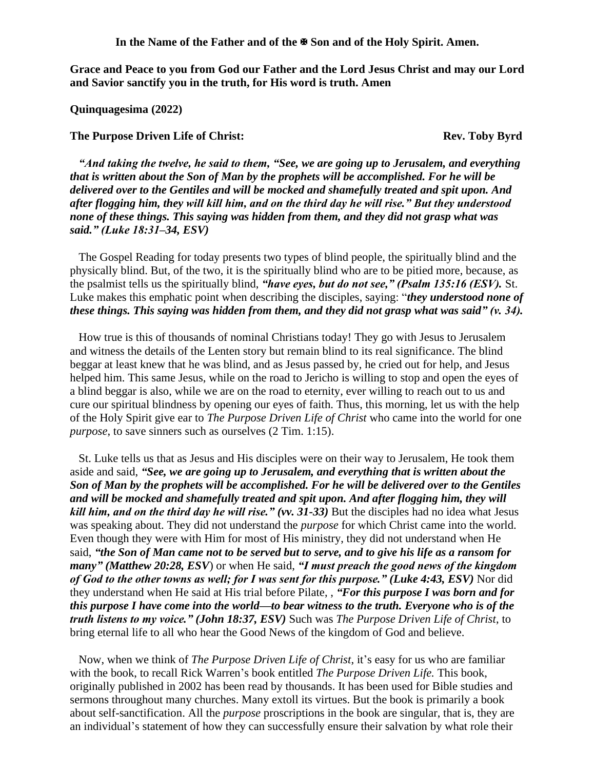**In the Name of the Father and of the Son and of the Holy Spirit. Amen.**

**Grace and Peace to you from God our Father and the Lord Jesus Christ and may our Lord and Savior sanctify you in the truth, for His word is truth. Amen**

**Quinquagesima (2022)**

## **The Purpose Driven Life of Christ: Rev. Toby Byrd Rev. Toby Byrd**

*"And taking the twelve, he said to them, "See, we are going up to Jerusalem, and everything that is written about the Son of Man by the prophets will be accomplished. For he will be delivered over to the Gentiles and will be mocked and shamefully treated and spit upon. And after flogging him, they will kill him, and on the third day he will rise." But they understood none of these things. This saying was hidden from them, and they did not grasp what was said." (Luke 18:31–34, ESV)* 

The Gospel Reading for today presents two types of blind people, the spiritually blind and the physically blind. But, of the two, it is the spiritually blind who are to be pitied more, because, as the psalmist tells us the spiritually blind, *"have eyes, but do not see," (Psalm 135:16 (ESV).* St. Luke makes this emphatic point when describing the disciples, saying: "*they understood none of these things. This saying was hidden from them, and they did not grasp what was said" (v. 34).*

How true is this of thousands of nominal Christians today! They go with Jesus to Jerusalem and witness the details of the Lenten story but remain blind to its real significance. The blind beggar at least knew that he was blind, and as Jesus passed by, he cried out for help, and Jesus helped him. This same Jesus, while on the road to Jericho is willing to stop and open the eyes of a blind beggar is also, while we are on the road to eternity, ever willing to reach out to us and cure our spiritual blindness by opening our eyes of faith. Thus, this morning, let us with the help of the Holy Spirit give ear to *The Purpose Driven Life of Christ* who came into the world for one *purpose*, to save sinners such as ourselves (2 Tim. 1:15).

St. Luke tells us that as Jesus and His disciples were on their way to Jerusalem, He took them aside and said, *"See, we are going up to Jerusalem, and everything that is written about the Son of Man by the prophets will be accomplished. For he will be delivered over to the Gentiles and will be mocked and shamefully treated and spit upon. And after flogging him, they will kill him, and on the third day he will rise." (vv. 31-33)* But the disciples had no idea what Jesus was speaking about. They did not understand the *purpose* for which Christ came into the world. Even though they were with Him for most of His ministry, they did not understand when He said, *"the Son of Man came not to be served but to serve, and to give his life as a ransom for many" (Matthew 20:28, ESV*) or when He said, *"I must preach the good news of the kingdom of God to the other towns as well; for I was sent for this purpose." (Luke 4:43, ESV)* Nor did they understand when He said at His trial before Pilate, , *"For this purpose I was born and for this purpose I have come into the world—to bear witness to the truth. Everyone who is of the truth listens to my voice." (John 18:37, ESV)* Such was *The Purpose Driven Life of Christ*, to bring eternal life to all who hear the Good News of the kingdom of God and believe.

Now, when we think of *The Purpose Driven Life of Christ*, it's easy for us who are familiar with the book, to recall Rick Warren's book entitled *The Purpose Driven Life.* This book, originally published in 2002 has been read by thousands. It has been used for Bible studies and sermons throughout many churches. Many extoll its virtues. But the book is primarily a book about self-sanctification. All the *purpose* proscriptions in the book are singular, that is, they are an individual's statement of how they can successfully ensure their salvation by what role their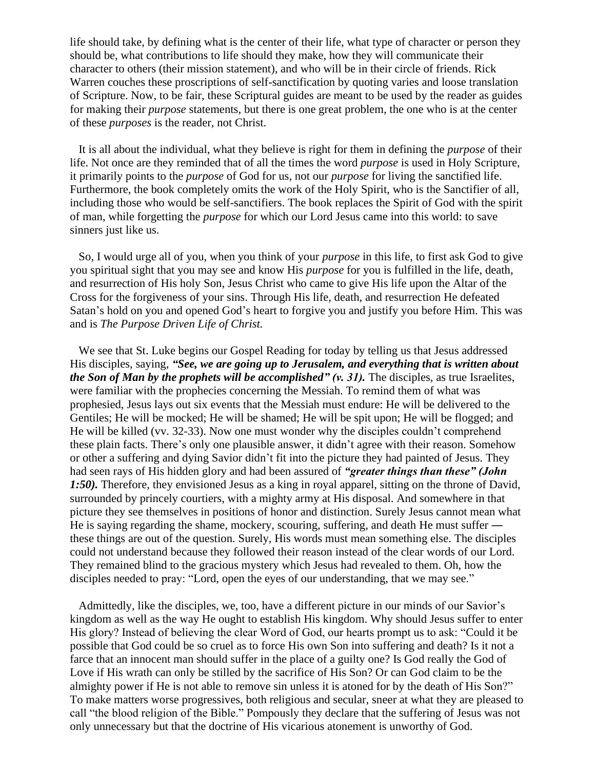life should take, by defining what is the center of their life, what type of character or person they should be, what contributions to life should they make, how they will communicate their character to others (their mission statement), and who will be in their circle of friends. Rick Warren couches these proscriptions of self-sanctification by quoting varies and loose translation of Scripture. Now, to be fair, these Scriptural guides are meant to be used by the reader as guides for making their *purpose* statements, but there is one great problem, the one who is at the center of these *purposes* is the reader, not Christ.

It is all about the individual, what they believe is right for them in defining the *purpose* of their life. Not once are they reminded that of all the times the word *purpose* is used in Holy Scripture, it primarily points to the *purpose* of God for us, not our *purpose* for living the sanctified life. Furthermore, the book completely omits the work of the Holy Spirit, who is the Sanctifier of all, including those who would be self-sanctifiers. The book replaces the Spirit of God with the spirit of man, while forgetting the *purpose* for which our Lord Jesus came into this world: to save sinners just like us.

So, I would urge all of you, when you think of your *purpose* in this life, to first ask God to give you spiritual sight that you may see and know His *purpose* for you is fulfilled in the life, death, and resurrection of His holy Son, Jesus Christ who came to give His life upon the Altar of the Cross for the forgiveness of your sins. Through His life, death, and resurrection He defeated Satan's hold on you and opened God's heart to forgive you and justify you before Him. This was and is *The Purpose Driven Life of Christ.*

We see that St. Luke begins our Gospel Reading for today by telling us that Jesus addressed His disciples, saying, *"See, we are going up to Jerusalem, and everything that is written about the Son of Man by the prophets will be accomplished" (v. 31).* The disciples, as true Israelites, were familiar with the prophecies concerning the Messiah. To remind them of what was prophesied, Jesus lays out six events that the Messiah must endure: He will be delivered to the Gentiles; He will be mocked; He will be shamed; He will be spit upon; He will be flogged; and He will be killed (vv. 32-33). Now one must wonder why the disciples couldn't comprehend these plain facts. There's only one plausible answer, it didn't agree with their reason. Somehow or other a suffering and dying Savior didn't fit into the picture they had painted of Jesus. They had seen rays of His hidden glory and had been assured of *"greater things than these" (John 1:50).* Therefore, they envisioned Jesus as a king in royal apparel, sitting on the throne of David, surrounded by princely courtiers, with a mighty army at His disposal. And somewhere in that picture they see themselves in positions of honor and distinction. Surely Jesus cannot mean what He is saying regarding the shame, mockery, scouring, suffering, and death He must suffer these things are out of the question. Surely, His words must mean something else. The disciples could not understand because they followed their reason instead of the clear words of our Lord. They remained blind to the gracious mystery which Jesus had revealed to them. Oh, how the disciples needed to pray: "Lord, open the eyes of our understanding, that we may see."

Admittedly, like the disciples, we, too, have a different picture in our minds of our Savior's kingdom as well as the way He ought to establish His kingdom. Why should Jesus suffer to enter His glory? Instead of believing the clear Word of God, our hearts prompt us to ask: "Could it be possible that God could be so cruel as to force His own Son into suffering and death? Is it not a farce that an innocent man should suffer in the place of a guilty one? Is God really the God of Love if His wrath can only be stilled by the sacrifice of His Son? Or can God claim to be the almighty power if He is not able to remove sin unless it is atoned for by the death of His Son?" To make matters worse progressives, both religious and secular, sneer at what they are pleased to call "the blood religion of the Bible." Pompously they declare that the suffering of Jesus was not only unnecessary but that the doctrine of His vicarious atonement is unworthy of God.